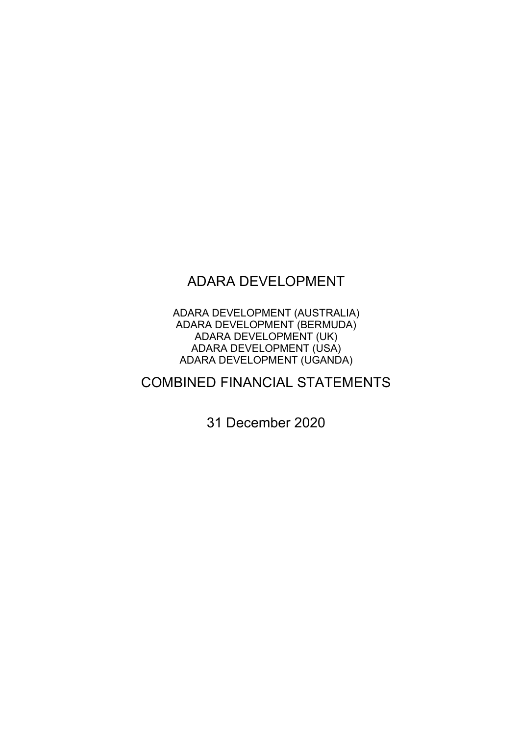# ADARA DEVELOPMENT

ADARA DEVELOPMENT (AUSTRALIA) ADARA DEVELOPMENT (BERMUDA) ADARA DEVELOPMENT (UK) ADARA DEVELOPMENT (USA) ADARA DEVELOPMENT (UGANDA)

# COMBINED FINANCIAL STATEMENTS

31 December 2020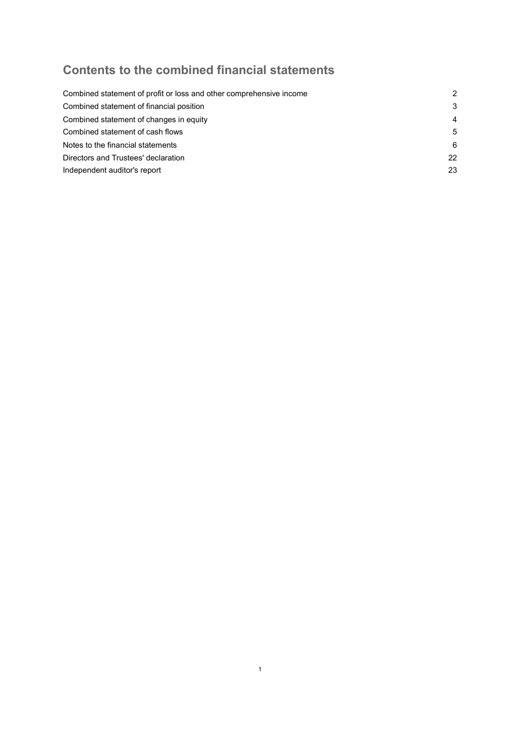# Contents to the combined financial statements

| 2              |
|----------------|
| 3              |
| $\overline{4}$ |
| 5              |
| 6              |
| 22             |
| 23             |
|                |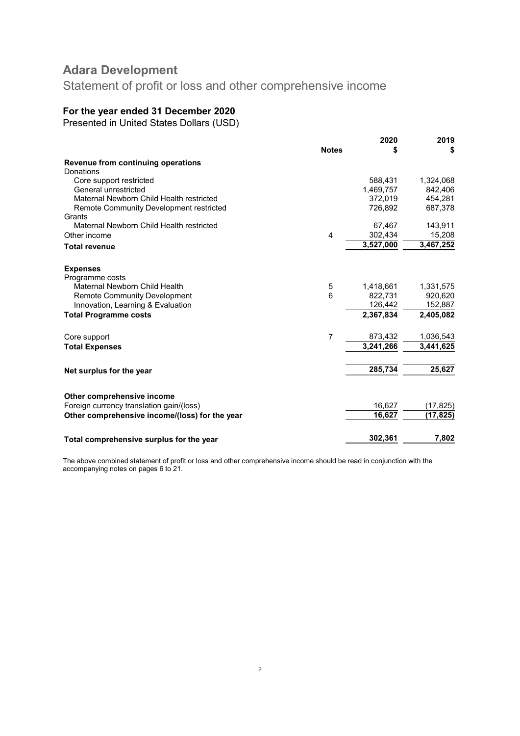Statement of profit or loss and other comprehensive income

## For the year ended 31 December 2020

Presented in United States Dollars (USD)

|                                                |              | 2020      | 2019      |
|------------------------------------------------|--------------|-----------|-----------|
|                                                | <b>Notes</b> | \$        | \$        |
| Revenue from continuing operations             |              |           |           |
| Donations                                      |              |           |           |
| Core support restricted                        |              | 588.431   | 1,324,068 |
| General unrestricted                           |              | 1,469,757 | 842,406   |
| Maternal Newborn Child Health restricted       |              | 372,019   | 454,281   |
| Remote Community Development restricted        |              | 726,892   | 687,378   |
| Grants                                         |              |           |           |
| Maternal Newborn Child Health restricted       |              | 67,467    | 143,911   |
| Other income                                   | 4            | 302,434   | 15,208    |
| <b>Total revenue</b>                           |              | 3,527,000 | 3,467,252 |
|                                                |              |           |           |
| <b>Expenses</b>                                |              |           |           |
| Programme costs                                |              |           |           |
| Maternal Newborn Child Health                  | 5            | 1,418,661 | 1,331,575 |
| <b>Remote Community Development</b>            | 6            | 822,731   | 920,620   |
| Innovation, Learning & Evaluation              |              | 126,442   | 152,887   |
| <b>Total Programme costs</b>                   |              | 2,367,834 | 2,405,082 |
|                                                |              |           |           |
| Core support                                   | 7            | 873,432   | 1,036,543 |
| <b>Total Expenses</b>                          |              | 3,241,266 | 3.441.625 |
|                                                |              |           |           |
|                                                |              | 285,734   | 25,627    |
| Net surplus for the year                       |              |           |           |
|                                                |              |           |           |
| Other comprehensive income                     |              |           |           |
| Foreign currency translation gain/(loss)       |              | 16,627    | (17, 825) |
| Other comprehensive income/(loss) for the year |              | 16,627    | (17, 825) |
|                                                |              |           |           |
| Total comprehensive surplus for the year       |              | 302,361   | 7,802     |
|                                                |              |           |           |

The above combined statement of profit or loss and other comprehensive income should be read in conjunction with the accompanying notes on pages 6 to 21.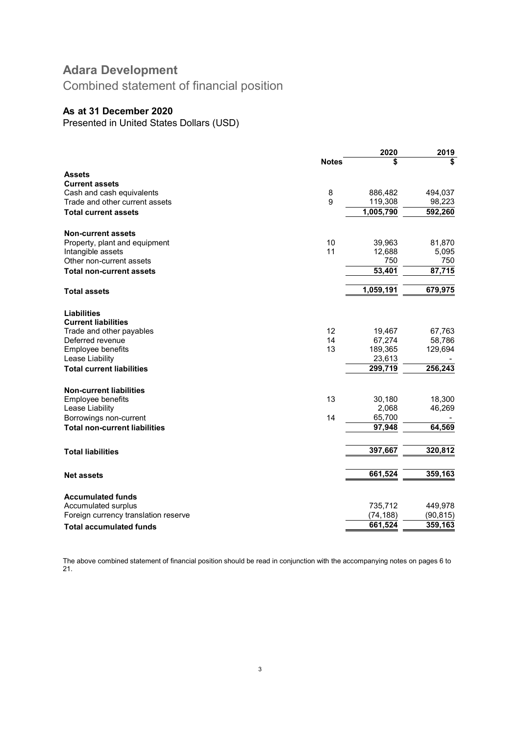Combined statement of financial position

## As at 31 December 2020

Presented in United States Dollars (USD)

|                                      |              | 2020      | 2019      |
|--------------------------------------|--------------|-----------|-----------|
|                                      | <b>Notes</b> | \$        | \$        |
| <b>Assets</b>                        |              |           |           |
| <b>Current assets</b>                |              |           |           |
| Cash and cash equivalents            | 8            | 886,482   | 494,037   |
| Trade and other current assets       | 9            | 119,308   | 98,223    |
| Total current assets                 |              | 1,005,790 | 592,260   |
| <b>Non-current assets</b>            |              |           |           |
| Property, plant and equipment        | 10           | 39,963    | 81,870    |
| Intangible assets                    | 11           | 12,688    | 5,095     |
| Other non-current assets             |              | 750       | 750       |
| <b>Total non-current assets</b>      |              | 53,401    | 87,715    |
| <b>Total assets</b>                  |              | 1,059,191 | 679,975   |
|                                      |              |           |           |
| <b>Liabilities</b>                   |              |           |           |
| <b>Current liabilities</b>           |              |           |           |
| Trade and other payables             | 12           | 19,467    | 67,763    |
| Deferred revenue                     | 14           | 67,274    | 58,786    |
| Employee benefits                    | 13           | 189,365   | 129,694   |
| Lease Liability                      |              | 23,613    |           |
| <b>Total current liabilities</b>     |              | 299,719   | 256,243   |
| <b>Non-current liabilities</b>       |              |           |           |
| Employee benefits                    | 13           | 30,180    | 18,300    |
| Lease Liability                      |              | 2,068     | 46,269    |
| Borrowings non-current               | 14           | 65,700    |           |
| <b>Total non-current liabilities</b> |              | 97,948    | 64,569    |
| <b>Total liabilities</b>             |              | 397,667   | 320,812   |
|                                      |              |           |           |
| <b>Net assets</b>                    |              | 661,524   | 359,163   |
| <b>Accumulated funds</b>             |              |           |           |
| Accumulated surplus                  |              | 735,712   | 449,978   |
| Foreign currency translation reserve |              | (74, 188) | (90, 815) |
| <b>Total accumulated funds</b>       |              | 661,524   | 359,163   |

The above combined statement of financial position should be read in conjunction with the accompanying notes on pages 6 to 21.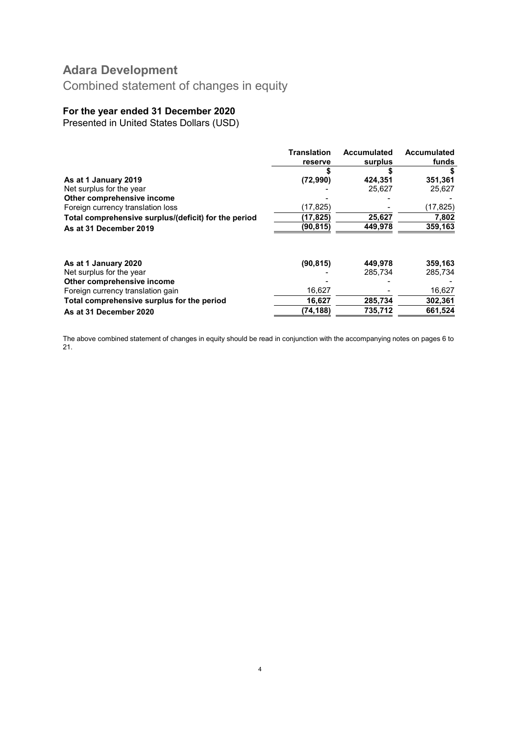Combined statement of changes in equity

## For the year ended 31 December 2020

Presented in United States Dollars (USD)

| <b>Translation</b> | Accumulated         | <b>Accumulated</b> |
|--------------------|---------------------|--------------------|
| reserve            | surplus             | funds              |
|                    |                     |                    |
| (72,990)           | 424,351             | 351,361            |
|                    | 25,627              | 25,627             |
|                    |                     |                    |
| (17, 825)          |                     | (17, 825)          |
| (17, 825)          | 25,627              | 7,802              |
| (90,815)           | 449,978             | 359,163            |
|                    |                     |                    |
|                    |                     | 359,163            |
|                    |                     | 285,734            |
|                    |                     |                    |
|                    |                     | 16,627             |
| 16,627             | 285,734             | 302.361            |
| (74,188)           | 735,712             | 661,524            |
|                    | (90, 815)<br>16,627 | 449,978<br>285.734 |

The above combined statement of changes in equity should be read in conjunction with the accompanying notes on pages 6 to 21.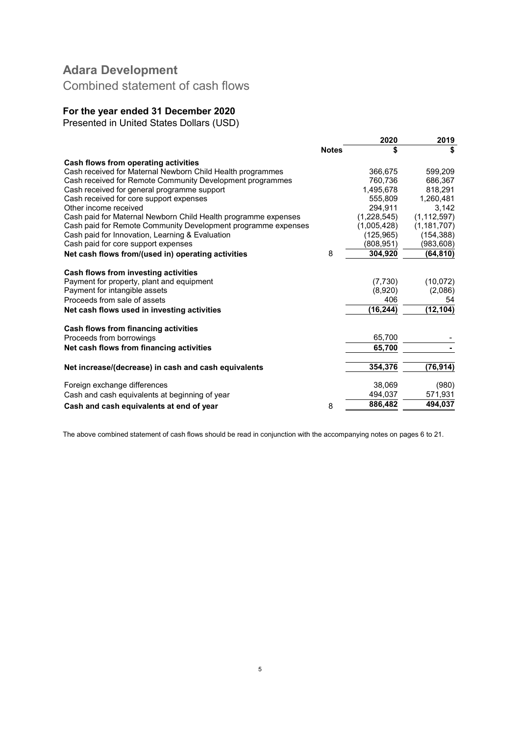Combined statement of cash flows

## For the year ended 31 December 2020

Presented in United States Dollars (USD)

|                                                                                                                                                                                                                                                                                                                                                                                                  |              | 2020                                                                | 2019                                    |
|--------------------------------------------------------------------------------------------------------------------------------------------------------------------------------------------------------------------------------------------------------------------------------------------------------------------------------------------------------------------------------------------------|--------------|---------------------------------------------------------------------|-----------------------------------------|
|                                                                                                                                                                                                                                                                                                                                                                                                  | <b>Notes</b> | \$                                                                  | \$                                      |
| Cash flows from operating activities                                                                                                                                                                                                                                                                                                                                                             |              |                                                                     |                                         |
| Cash received for Maternal Newborn Child Health programmes                                                                                                                                                                                                                                                                                                                                       |              | 366,675                                                             | 599,209                                 |
| Cash received for Remote Community Development programmes                                                                                                                                                                                                                                                                                                                                        |              | 760.736                                                             | 686.367                                 |
| Cash received for general programme support                                                                                                                                                                                                                                                                                                                                                      |              | 1,495,678                                                           | 818.291                                 |
| Cash received for core support expenses                                                                                                                                                                                                                                                                                                                                                          |              | 555,809                                                             | 1,260,481                               |
| Other income received                                                                                                                                                                                                                                                                                                                                                                            |              | 294,911                                                             | 3,142                                   |
| Cash paid for Maternal Newborn Child Health programme expenses                                                                                                                                                                                                                                                                                                                                   |              | (1,228,545)                                                         | (1, 112, 597)                           |
| Cash paid for Remote Community Development programme expenses                                                                                                                                                                                                                                                                                                                                    |              | (1,005,428)                                                         | (1, 181, 707)                           |
| Cash paid for Innovation, Learning & Evaluation                                                                                                                                                                                                                                                                                                                                                  |              | (125, 965)                                                          | (154, 388)                              |
| Cash paid for core support expenses                                                                                                                                                                                                                                                                                                                                                              |              | (808, 951)                                                          | (983, 608)                              |
| Net cash flows from/(used in) operating activities                                                                                                                                                                                                                                                                                                                                               | 8            | 304,920                                                             | (64,810)                                |
|                                                                                                                                                                                                                                                                                                                                                                                                  |              |                                                                     |                                         |
|                                                                                                                                                                                                                                                                                                                                                                                                  |              |                                                                     |                                         |
|                                                                                                                                                                                                                                                                                                                                                                                                  |              |                                                                     |                                         |
|                                                                                                                                                                                                                                                                                                                                                                                                  |              |                                                                     | 54                                      |
| Net cash flows used in investing activities                                                                                                                                                                                                                                                                                                                                                      |              | (16, 244)                                                           | (12, 104)                               |
|                                                                                                                                                                                                                                                                                                                                                                                                  |              |                                                                     |                                         |
|                                                                                                                                                                                                                                                                                                                                                                                                  |              |                                                                     |                                         |
|                                                                                                                                                                                                                                                                                                                                                                                                  |              |                                                                     |                                         |
|                                                                                                                                                                                                                                                                                                                                                                                                  |              |                                                                     |                                         |
| Net increase/(decrease) in cash and cash equivalents                                                                                                                                                                                                                                                                                                                                             |              | 354,376                                                             | (76, 914)                               |
|                                                                                                                                                                                                                                                                                                                                                                                                  |              |                                                                     |                                         |
|                                                                                                                                                                                                                                                                                                                                                                                                  |              |                                                                     |                                         |
|                                                                                                                                                                                                                                                                                                                                                                                                  | 8            | 886,482                                                             | 494,037                                 |
| Cash flows from investing activities<br>Payment for property, plant and equipment<br>Payment for intangible assets<br>Proceeds from sale of assets<br>Cash flows from financing activities<br>Proceeds from borrowings<br>Net cash flows from financing activities<br>Foreign exchange differences<br>Cash and cash equivalents at beginning of year<br>Cash and cash equivalents at end of year |              | (7, 730)<br>(8,920)<br>406<br>65,700<br>65.700<br>38.069<br>494,037 | (10,072)<br>(2,086)<br>(980)<br>571,931 |

The above combined statement of cash flows should be read in conjunction with the accompanying notes on pages 6 to 21.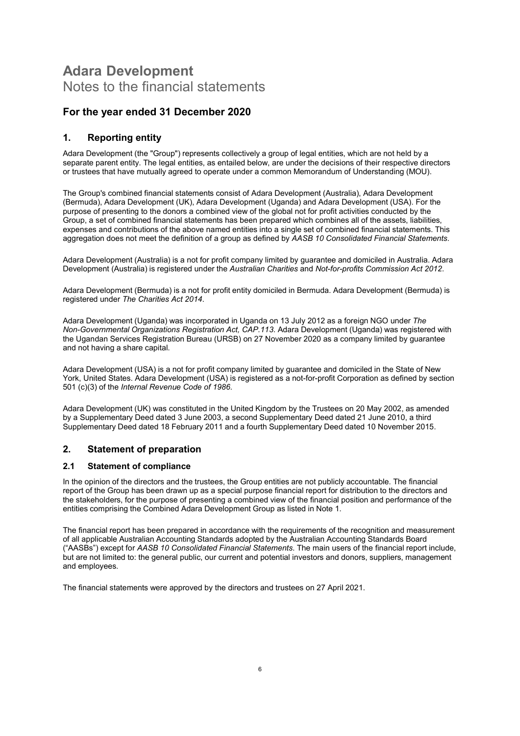# Adara Development Notes to the financial statements

## For the year ended 31 December 2020

### 1. Reporting entity

Adara Development (the "Group") represents collectively a group of legal entities, which are not held by a separate parent entity. The legal entities, as entailed below, are under the decisions of their respective directors or trustees that have mutually agreed to operate under a common Memorandum of Understanding (MOU).

The Group's combined financial statements consist of Adara Development (Australia), Adara Development (Bermuda), Adara Development (UK), Adara Development (Uganda) and Adara Development (USA). For the purpose of presenting to the donors a combined view of the global not for profit activities conducted by the Group, a set of combined financial statements has been prepared which combines all of the assets, liabilities, expenses and contributions of the above named entities into a single set of combined financial statements. This aggregation does not meet the definition of a group as defined by AASB 10 Consolidated Financial Statements.

Adara Development (Australia) is a not for profit company limited by guarantee and domiciled in Australia. Adara Development (Australia) is registered under the Australian Charities and Not-for-profits Commission Act 2012.

Adara Development (Bermuda) is a not for profit entity domiciled in Bermuda. Adara Development (Bermuda) is registered under The Charities Act 2014.

Adara Development (Uganda) was incorporated in Uganda on 13 July 2012 as a foreign NGO under The Non-Governmental Organizations Registration Act, CAP.113. Adara Development (Uganda) was registered with the Ugandan Services Registration Bureau (URSB) on 27 November 2020 as a company limited by guarantee and not having a share capital.

Adara Development (USA) is a not for profit company limited by guarantee and domiciled in the State of New York, United States. Adara Development (USA) is registered as a not-for-profit Corporation as defined by section 501 (c)(3) of the Internal Revenue Code of 1986.

Adara Development (UK) was constituted in the United Kingdom by the Trustees on 20 May 2002, as amended by a Supplementary Deed dated 3 June 2003, a second Supplementary Deed dated 21 June 2010, a third Supplementary Deed dated 18 February 2011 and a fourth Supplementary Deed dated 10 November 2015.

### 2. Statement of preparation

#### 2.1 Statement of compliance

In the opinion of the directors and the trustees, the Group entities are not publicly accountable. The financial report of the Group has been drawn up as a special purpose financial report for distribution to the directors and the stakeholders, for the purpose of presenting a combined view of the financial position and performance of the entities comprising the Combined Adara Development Group as listed in Note 1.

The financial report has been prepared in accordance with the requirements of the recognition and measurement of all applicable Australian Accounting Standards adopted by the Australian Accounting Standards Board ("AASBs") except for AASB 10 Consolidated Financial Statements. The main users of the financial report include, but are not limited to: the general public, our current and potential investors and donors, suppliers, management and employees.

The financial statements were approved by the directors and trustees on 27 April 2021.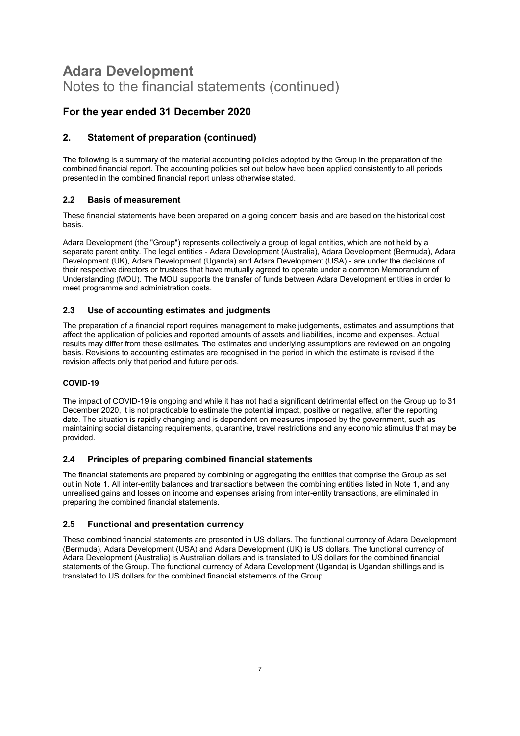## For the year ended 31 December 2020

## 2. Statement of preparation (continued)

The following is a summary of the material accounting policies adopted by the Group in the preparation of the combined financial report. The accounting policies set out below have been applied consistently to all periods presented in the combined financial report unless otherwise stated.

### 2.2 Basis of measurement

These financial statements have been prepared on a going concern basis and are based on the historical cost basis.

Adara Development (the "Group") represents collectively a group of legal entities, which are not held by a separate parent entity. The legal entities - Adara Development (Australia), Adara Development (Bermuda), Adara Development (UK), Adara Development (Uganda) and Adara Development (USA) - are under the decisions of their respective directors or trustees that have mutually agreed to operate under a common Memorandum of Understanding (MOU). The MOU supports the transfer of funds between Adara Development entities in order to meet programme and administration costs.

### 2.3 Use of accounting estimates and judgments

The preparation of a financial report requires management to make judgements, estimates and assumptions that affect the application of policies and reported amounts of assets and liabilities, income and expenses. Actual results may differ from these estimates. The estimates and underlying assumptions are reviewed on an ongoing basis. Revisions to accounting estimates are recognised in the period in which the estimate is revised if the revision affects only that period and future periods.

### COVID-19

The impact of COVID-19 is ongoing and while it has not had a significant detrimental effect on the Group up to 31 December 2020, it is not practicable to estimate the potential impact, positive or negative, after the reporting date. The situation is rapidly changing and is dependent on measures imposed by the government, such as maintaining social distancing requirements, quarantine, travel restrictions and any economic stimulus that may be provided.

### 2.4 Principles of preparing combined financial statements

The financial statements are prepared by combining or aggregating the entities that comprise the Group as set out in Note 1. All inter-entity balances and transactions between the combining entities listed in Note 1, and any unrealised gains and losses on income and expenses arising from inter-entity transactions, are eliminated in preparing the combined financial statements.

### 2.5 Functional and presentation currency

These combined financial statements are presented in US dollars. The functional currency of Adara Development (Bermuda), Adara Development (USA) and Adara Development (UK) is US dollars. The functional currency of Adara Development (Australia) is Australian dollars and is translated to US dollars for the combined financial statements of the Group. The functional currency of Adara Development (Uganda) is Ugandan shillings and is translated to US dollars for the combined financial statements of the Group.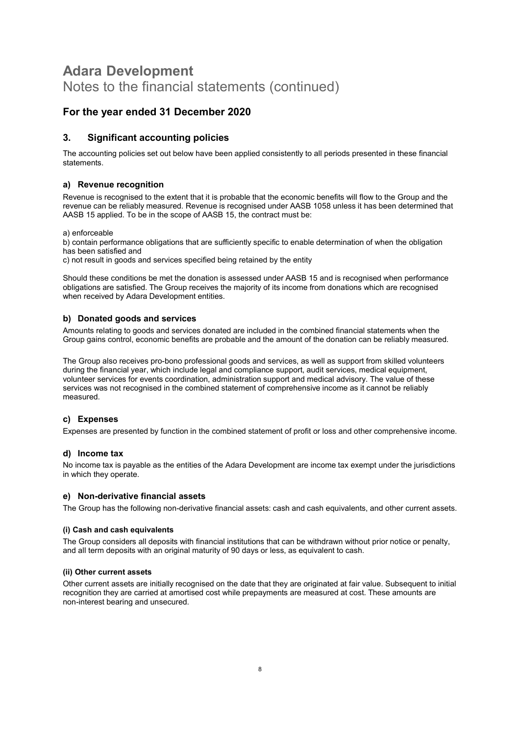## For the year ended 31 December 2020

### 3. Significant accounting policies

The accounting policies set out below have been applied consistently to all periods presented in these financial statements.

#### a) Revenue recognition

Revenue is recognised to the extent that it is probable that the economic benefits will flow to the Group and the revenue can be reliably measured. Revenue is recognised under AASB 1058 unless it has been determined that AASB 15 applied. To be in the scope of AASB 15, the contract must be:

a) enforceable

b) contain performance obligations that are sufficiently specific to enable determination of when the obligation has been satisfied and

c) not result in goods and services specified being retained by the entity

Should these conditions be met the donation is assessed under AASB 15 and is recognised when performance obligations are satisfied. The Group receives the majority of its income from donations which are recognised when received by Adara Development entities.

#### b) Donated goods and services

Amounts relating to goods and services donated are included in the combined financial statements when the Group gains control, economic benefits are probable and the amount of the donation can be reliably measured.

The Group also receives pro-bono professional goods and services, as well as support from skilled volunteers during the financial year, which include legal and compliance support, audit services, medical equipment, volunteer services for events coordination, administration support and medical advisory. The value of these services was not recognised in the combined statement of comprehensive income as it cannot be reliably measured.

### c) Expenses

Expenses are presented by function in the combined statement of profit or loss and other comprehensive income.

#### d) Income tax

No income tax is payable as the entities of the Adara Development are income tax exempt under the jurisdictions in which they operate.

#### e) Non-derivative financial assets

The Group has the following non-derivative financial assets: cash and cash equivalents, and other current assets.

#### (i) Cash and cash equivalents

The Group considers all deposits with financial institutions that can be withdrawn without prior notice or penalty, and all term deposits with an original maturity of 90 days or less, as equivalent to cash.

#### (ii) Other current assets

Other current assets are initially recognised on the date that they are originated at fair value. Subsequent to initial recognition they are carried at amortised cost while prepayments are measured at cost. These amounts are non-interest bearing and unsecured.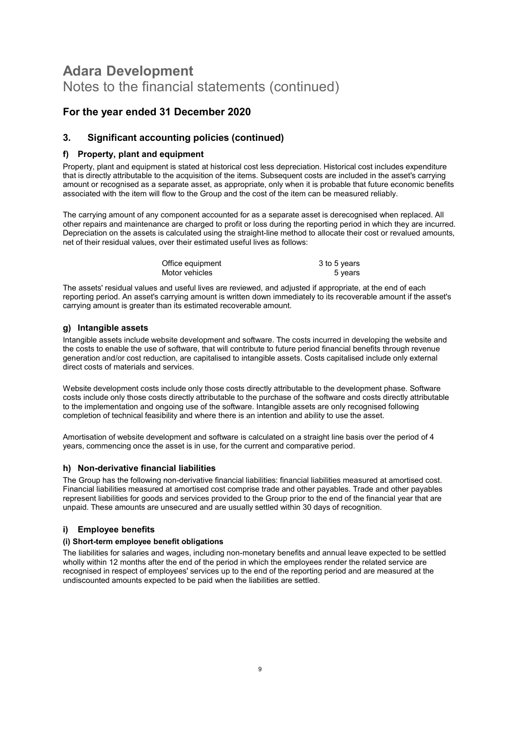## For the year ended 31 December 2020

### 3. Significant accounting policies (continued)

#### f) Property, plant and equipment

Property, plant and equipment is stated at historical cost less depreciation. Historical cost includes expenditure that is directly attributable to the acquisition of the items. Subsequent costs are included in the asset's carrying amount or recognised as a separate asset, as appropriate, only when it is probable that future economic benefits associated with the item will flow to the Group and the cost of the item can be measured reliably.

The carrying amount of any component accounted for as a separate asset is derecognised when replaced. All other repairs and maintenance are charged to profit or loss during the reporting period in which they are incurred. Depreciation on the assets is calculated using the straight-line method to allocate their cost or revalued amounts, net of their residual values, over their estimated useful lives as follows:

| Office equipment | 3 to 5 years |
|------------------|--------------|
| Motor vehicles   | 5 years      |

The assets' residual values and useful lives are reviewed, and adjusted if appropriate, at the end of each reporting period. An asset's carrying amount is written down immediately to its recoverable amount if the asset's carrying amount is greater than its estimated recoverable amount.

#### g) Intangible assets

Intangible assets include website development and software. The costs incurred in developing the website and the costs to enable the use of software, that will contribute to future period financial benefits through revenue generation and/or cost reduction, are capitalised to intangible assets. Costs capitalised include only external direct costs of materials and services.

Website development costs include only those costs directly attributable to the development phase. Software costs include only those costs directly attributable to the purchase of the software and costs directly attributable to the implementation and ongoing use of the software. Intangible assets are only recognised following completion of technical feasibility and where there is an intention and ability to use the asset.

Amortisation of website development and software is calculated on a straight line basis over the period of 4 years, commencing once the asset is in use, for the current and comparative period.

#### h) Non-derivative financial liabilities

The Group has the following non-derivative financial liabilities: financial liabilities measured at amortised cost. Financial liabilities measured at amortised cost comprise trade and other payables. Trade and other payables represent liabilities for goods and services provided to the Group prior to the end of the financial year that are unpaid. These amounts are unsecured and are usually settled within 30 days of recognition.

### i) Employee benefits

#### (i) Short-term employee benefit obligations

The liabilities for salaries and wages, including non-monetary benefits and annual leave expected to be settled wholly within 12 months after the end of the period in which the employees render the related service are recognised in respect of employees' services up to the end of the reporting period and are measured at the undiscounted amounts expected to be paid when the liabilities are settled.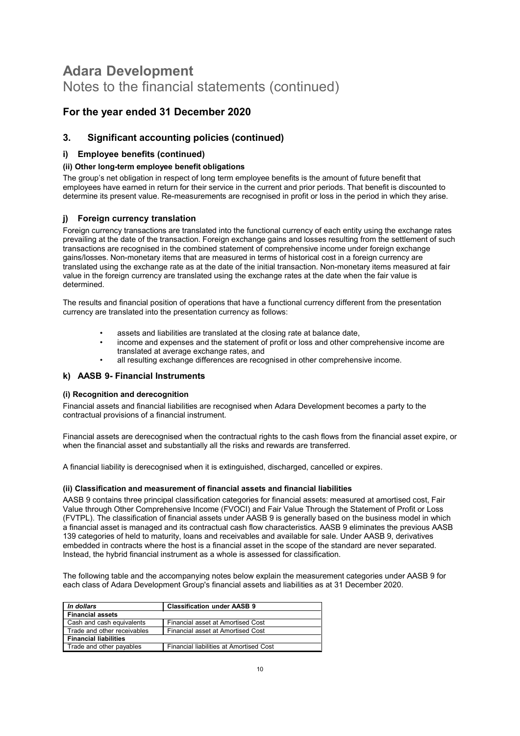## For the year ended 31 December 2020

### 3. Significant accounting policies (continued)

#### i) Employee benefits (continued)

#### (ii) Other long-term employee benefit obligations

The group's net obligation in respect of long term employee benefits is the amount of future benefit that employees have earned in return for their service in the current and prior periods. That benefit is discounted to determine its present value. Re-measurements are recognised in profit or loss in the period in which they arise.

#### j) Foreign currency translation

Foreign currency transactions are translated into the functional currency of each entity using the exchange rates prevailing at the date of the transaction. Foreign exchange gains and losses resulting from the settlement of such transactions are recognised in the combined statement of comprehensive income under foreign exchange gains/losses. Non-monetary items that are measured in terms of historical cost in a foreign currency are translated using the exchange rate as at the date of the initial transaction. Non-monetary items measured at fair value in the foreign currency are translated using the exchange rates at the date when the fair value is determined.

The results and financial position of operations that have a functional currency different from the presentation currency are translated into the presentation currency as follows:

- assets and liabilities are translated at the closing rate at balance date,
- income and expenses and the statement of profit or loss and other comprehensive income are translated at average exchange rates, and
- all resulting exchange differences are recognised in other comprehensive income.

#### k) AASB 9- Financial Instruments

#### (i) Recognition and derecognition

Financial assets and financial liabilities are recognised when Adara Development becomes a party to the contractual provisions of a financial instrument.

Financial assets are derecognised when the contractual rights to the cash flows from the financial asset expire, or when the financial asset and substantially all the risks and rewards are transferred.

A financial liability is derecognised when it is extinguished, discharged, cancelled or expires.

#### (ii) Classification and measurement of financial assets and financial liabilities

AASB 9 contains three principal classification categories for financial assets: measured at amortised cost, Fair Value through Other Comprehensive Income (FVOCI) and Fair Value Through the Statement of Profit or Loss (FVTPL). The classification of financial assets under AASB 9 is generally based on the business model in which a financial asset is managed and its contractual cash flow characteristics. AASB 9 eliminates the previous AASB 139 categories of held to maturity, loans and receivables and available for sale. Under AASB 9, derivatives embedded in contracts where the host is a financial asset in the scope of the standard are never separated. Instead, the hybrid financial instrument as a whole is assessed for classification.

The following table and the accompanying notes below explain the measurement categories under AASB 9 for each class of Adara Development Group's financial assets and liabilities as at 31 December 2020.

| In dollars                   | <b>Classification under AASB 9</b>      |
|------------------------------|-----------------------------------------|
| <b>Financial assets</b>      |                                         |
| Cash and cash equivalents    | Financial asset at Amortised Cost       |
| Trade and other receivables  | Financial asset at Amortised Cost       |
| <b>Financial liabilities</b> |                                         |
| Trade and other payables     | Financial liabilities at Amortised Cost |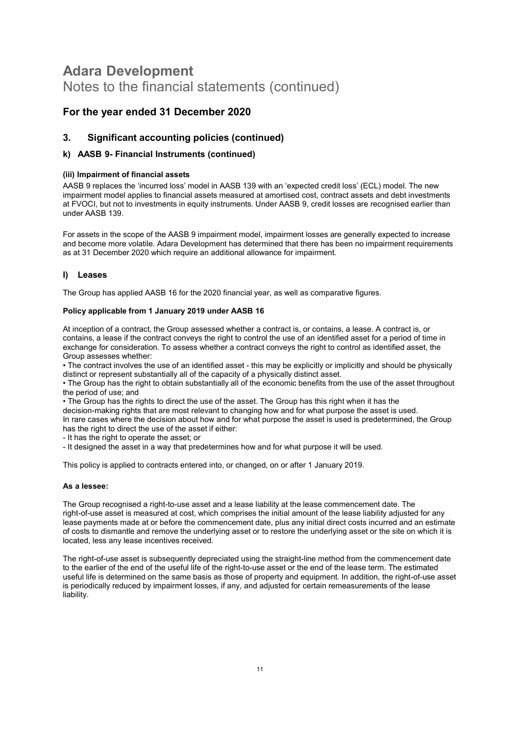## For the year ended 31 December 2020

### 3. Significant accounting policies (continued)

#### k) AASB 9- Financial Instruments (continued)

#### (iii) Impairment of financial assets

AASB 9 replaces the 'incurred loss' model in AASB 139 with an 'expected credit loss' (ECL) model. The new impairment model applies to financial assets measured at amortised cost, contract assets and debt investments at FVOCI, but not to investments in equity instruments. Under AASB 9, credit losses are recognised earlier than under AASB 139.

For assets in the scope of the AASB 9 impairment model, impairment losses are generally expected to increase and become more volatile. Adara Development has determined that there has been no impairment requirements as at 31 December 2020 which require an additional allowance for impairment.

#### l) Leases

The Group has applied AASB 16 for the 2020 financial year, as well as comparative figures.

#### Policy applicable from 1 January 2019 under AASB 16

At inception of a contract, the Group assessed whether a contract is, or contains, a lease. A contract is, or contains, a lease if the contract conveys the right to control the use of an identified asset for a period of time in exchange for consideration. To assess whether a contract conveys the right to control as identified asset, the Group assesses whether:

• The contract involves the use of an identified asset - this may be explicitly or implicitly and should be physically distinct or represent substantially all of the capacity of a physically distinct asset.

• The Group has the right to obtain substantially all of the economic benefits from the use of the asset throughout the period of use; and

• The Group has the rights to direct the use of the asset. The Group has this right when it has the decision-making rights that are most relevant to changing how and for what purpose the asset is used. In rare cases where the decision about how and for what purpose the asset is used is predetermined, the Group has the right to direct the use of the asset if either:

- It has the right to operate the asset; or

- It designed the asset in a way that predetermines how and for what purpose it will be used.

This policy is applied to contracts entered into, or changed, on or after 1 January 2019.

#### As a lessee:

The Group recognised a right-to-use asset and a lease liability at the lease commencement date. The right-of-use asset is measured at cost, which comprises the initial amount of the lease liability adjusted for any lease payments made at or before the commencement date, plus any initial direct costs incurred and an estimate of costs to dismantle and remove the underlying asset or to restore the underlying asset or the site on which it is located, less any lease incentives received.

The right-of-use asset is subsequently depreciated using the straight-line method from the commencement date to the earlier of the end of the useful life of the right-to-use asset or the end of the lease term. The estimated useful life is determined on the same basis as those of property and equipment. In addition, the right-of-use asset is periodically reduced by impairment losses, if any, and adjusted for certain remeasurements of the lease liability.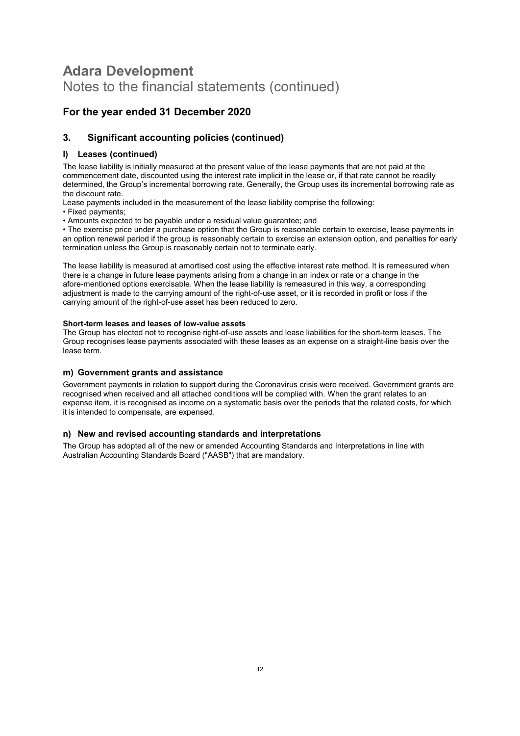## For the year ended 31 December 2020

## 3. Significant accounting policies (continued)

### l) Leases (continued)

The lease liability is initially measured at the present value of the lease payments that are not paid at the commencement date, discounted using the interest rate implicit in the lease or, if that rate cannot be readily determined, the Group's incremental borrowing rate. Generally, the Group uses its incremental borrowing rate as the discount rate.

Lease payments included in the measurement of the lease liability comprise the following:

• Fixed payments;

• Amounts expected to be payable under a residual value guarantee; and

• The exercise price under a purchase option that the Group is reasonable certain to exercise, lease payments in an option renewal period if the group is reasonably certain to exercise an extension option, and penalties for early termination unless the Group is reasonably certain not to terminate early.

The lease liability is measured at amortised cost using the effective interest rate method. It is remeasured when there is a change in future lease payments arising from a change in an index or rate or a change in the afore-mentioned options exercisable. When the lease liability is remeasured in this way, a corresponding adjustment is made to the carrying amount of the right-of-use asset, or it is recorded in profit or loss if the carrying amount of the right-of-use asset has been reduced to zero.

#### Short-term leases and leases of low-value assets

The Group has elected not to recognise right-of-use assets and lease liabilities for the short-term leases. The Group recognises lease payments associated with these leases as an expense on a straight-line basis over the lease term.

### m) Government grants and assistance

Government payments in relation to support during the Coronavirus crisis were received. Government grants are recognised when received and all attached conditions will be complied with. When the grant relates to an expense item, it is recognised as income on a systematic basis over the periods that the related costs, for which it is intended to compensate, are expensed.

### n) New and revised accounting standards and interpretations

The Group has adopted all of the new or amended Accounting Standards and Interpretations in line with Australian Accounting Standards Board ("AASB") that are mandatory.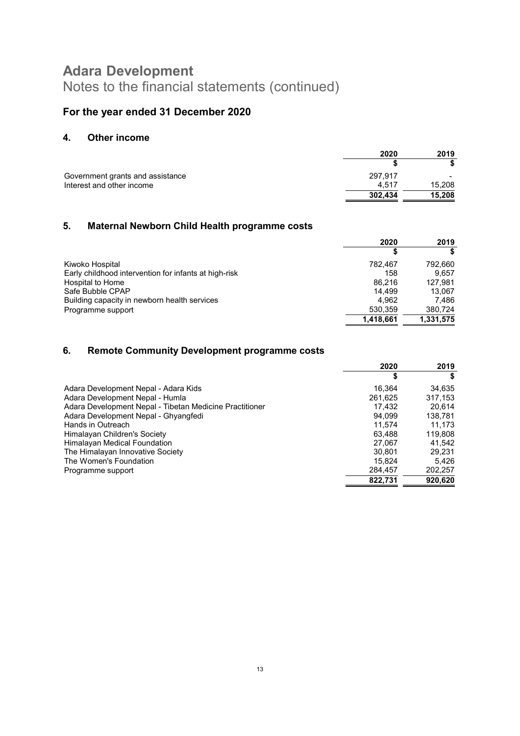## For the year ended 31 December 2020

## 4. Other income

|                                  | 2020    | 2019   |
|----------------------------------|---------|--------|
|                                  |         |        |
| Government grants and assistance | 297.917 |        |
| Interest and other income        | 4.517   | 15,208 |
|                                  | 302,434 | 15.208 |

## 5. Maternal Newborn Child Health programme costs

|                                                       | 2020      | 2019      |
|-------------------------------------------------------|-----------|-----------|
|                                                       |           |           |
| Kiwoko Hospital                                       | 782.467   | 792.660   |
| Early childhood intervention for infants at high-risk | 158       | 9.657     |
| Hospital to Home                                      | 86.216    | 127.981   |
| Safe Bubble CPAP                                      | 14.499    | 13.067    |
| Building capacity in newborn health services          | 4.962     | 7.486     |
| Programme support                                     | 530,359   | 380,724   |
|                                                       | 1.418.661 | 1,331,575 |

## 6. Remote Community Development programme costs

|                                                         | 2020    | 2019    |
|---------------------------------------------------------|---------|---------|
|                                                         | S       |         |
| Adara Development Nepal - Adara Kids                    | 16.364  | 34,635  |
| Adara Development Nepal - Humla                         | 261,625 | 317.153 |
| Adara Development Nepal - Tibetan Medicine Practitioner | 17.432  | 20.614  |
| Adara Development Nepal - Ghyangfedi                    | 94.099  | 138,781 |
| Hands in Outreach                                       | 11.574  | 11.173  |
| Himalayan Children's Society                            | 63.488  | 119,808 |
| Himalayan Medical Foundation                            | 27.067  | 41,542  |
| The Himalayan Innovative Society                        | 30.801  | 29.231  |
| The Women's Foundation                                  | 15.824  | 5,426   |
| Programme support                                       | 284,457 | 202,257 |
|                                                         | 822.731 | 920.620 |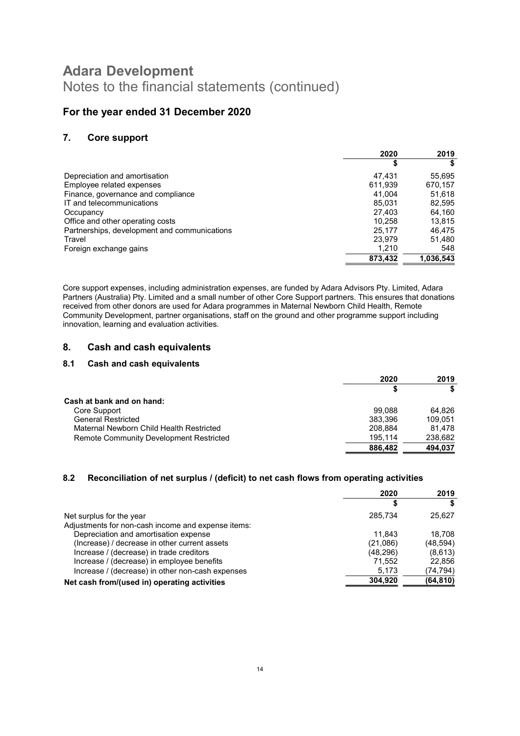## For the year ended 31 December 2020

### 7. Core support

|                                              | 2020    | 2019      |
|----------------------------------------------|---------|-----------|
|                                              | \$      |           |
| Depreciation and amortisation                | 47.431  | 55,695    |
| Employee related expenses                    | 611,939 | 670,157   |
| Finance, governance and compliance           | 41.004  | 51,618    |
| IT and telecommunications                    | 85,031  | 82,595    |
| Occupancy                                    | 27.403  | 64,160    |
| Office and other operating costs             | 10.258  | 13,815    |
| Partnerships, development and communications | 25,177  | 46.475    |
| Travel                                       | 23,979  | 51,480    |
| Foreign exchange gains                       | 1,210   | 548       |
|                                              | 873,432 | 1,036,543 |

Core support expenses, including administration expenses, are funded by Adara Advisors Pty. Limited, Adara Partners (Australia) Pty. Limited and a small number of other Core Support partners. This ensures that donations received from other donors are used for Adara programmes in Maternal Newborn Child Health, Remote Community Development, partner organisations, staff on the ground and other programme support including innovation, learning and evaluation activities.

### 8. Cash and cash equivalents

### 8.1 Cash and cash equivalents

|                                                | 2020    | 2019    |
|------------------------------------------------|---------|---------|
|                                                |         |         |
| Cash at bank and on hand:                      |         |         |
| Core Support                                   | 99.088  | 64.826  |
| <b>General Restricted</b>                      | 383.396 | 109.051 |
| Maternal Newborn Child Health Restricted       | 208.884 | 81.478  |
| <b>Remote Community Development Restricted</b> | 195.114 | 238,682 |
|                                                | 886,482 | 494,037 |

### 8.2 Reconciliation of net surplus / (deficit) to net cash flows from operating activities

|                                                    | 2020      | 2019      |
|----------------------------------------------------|-----------|-----------|
|                                                    |           |           |
| Net surplus for the year                           | 285.734   | 25,627    |
| Adjustments for non-cash income and expense items: |           |           |
| Depreciation and amortisation expense              | 11.843    | 18.708    |
| (Increase) / decrease in other current assets      | (21,086)  | (48, 594) |
| Increase / (decrease) in trade creditors           | (48, 296) | (8,613)   |
| Increase / (decrease) in employee benefits         | 71.552    | 22,856    |
| Increase / (decrease) in other non-cash expenses   | 5,173     | (74,794)  |
| Net cash from/(used in) operating activities       | 304.920   | (64, 810) |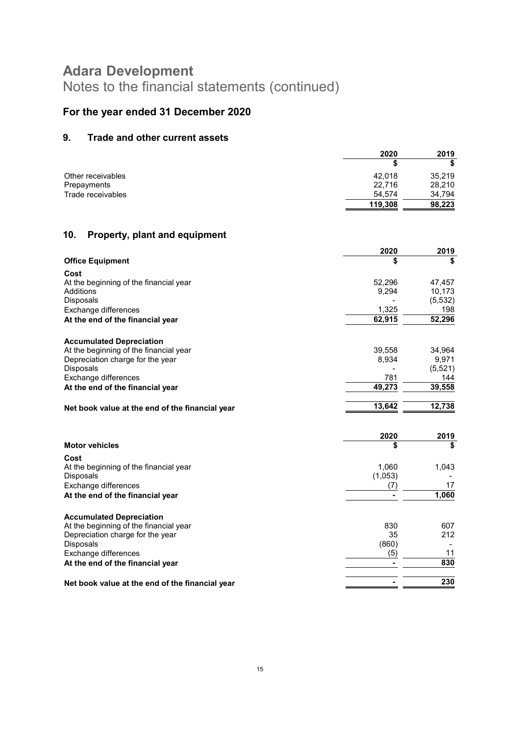# For the year ended 31 December 2020

## 9. Trade and other current assets

|                   | 2020    | 2019   |
|-------------------|---------|--------|
|                   |         |        |
| Other receivables | 42.018  | 35,219 |
| Prepayments       | 22,716  | 28,210 |
| Trade receivables | 54,574  | 34,794 |
|                   | 119,308 | 98,223 |

## 10. Property, plant and equipment

|                                                                           | 2020    | 2019     |
|---------------------------------------------------------------------------|---------|----------|
| <b>Office Equipment</b>                                                   | \$      | \$       |
| Cost                                                                      |         |          |
| At the beginning of the financial year                                    | 52,296  | 47,457   |
| Additions                                                                 | 9,294   | 10,173   |
| Disposals                                                                 |         | (5, 532) |
| Exchange differences                                                      | 1,325   | 198      |
| At the end of the financial year                                          | 62,915  | 52,296   |
|                                                                           |         |          |
| <b>Accumulated Depreciation</b><br>At the beginning of the financial year | 39,558  | 34,964   |
| Depreciation charge for the year                                          | 8,934   | 9,971    |
| Disposals                                                                 |         | (5,521)  |
| Exchange differences                                                      | 781     | 144      |
| At the end of the financial year                                          | 49,273  | 39,558   |
|                                                                           |         |          |
| Net book value at the end of the financial year                           | 13,642  | 12,738   |
|                                                                           |         |          |
|                                                                           | 2020    | 2019     |
| <b>Motor vehicles</b>                                                     | \$      | \$       |
| Cost                                                                      |         |          |
| At the beginning of the financial year                                    | 1,060   | 1,043    |
| Disposals                                                                 | (1,053) |          |
| Exchange differences                                                      | (7)     | 17       |
| At the end of the financial year                                          |         | 1,060    |
| <b>Accumulated Depreciation</b>                                           |         |          |
| At the beginning of the financial year                                    | 830     | 607      |
| Depreciation charge for the year                                          | 35      | 212      |
| Disposals                                                                 | (860)   |          |
| Exchange differences                                                      | (5)     | 11       |
| At the end of the financial year                                          |         | 830      |
|                                                                           |         | 230      |
| Net book value at the end of the financial year                           |         |          |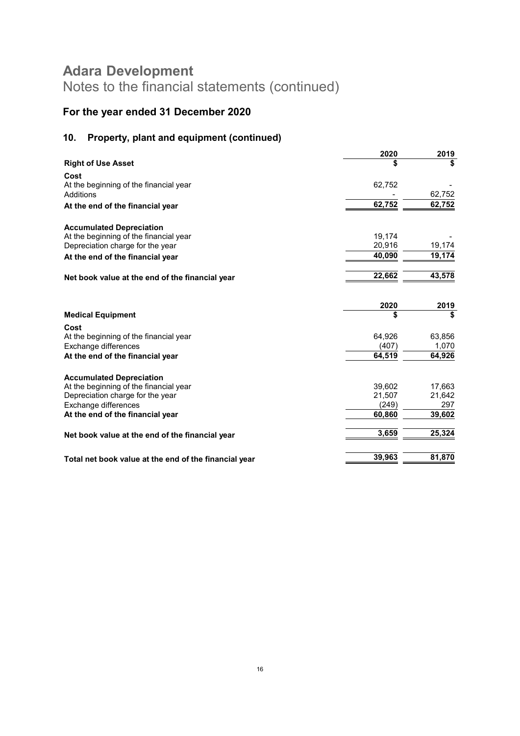# For the year ended 31 December 2020

## 10. Property, plant and equipment (continued)

|                                                       | 2020   | 2019   |
|-------------------------------------------------------|--------|--------|
| <b>Right of Use Asset</b>                             |        | \$     |
| Cost                                                  |        |        |
| At the beginning of the financial year                | 62,752 |        |
| Additions                                             |        | 62,752 |
| At the end of the financial year                      | 62,752 | 62,752 |
| <b>Accumulated Depreciation</b>                       |        |        |
| At the beginning of the financial year                | 19,174 |        |
| Depreciation charge for the year                      | 20,916 | 19,174 |
| At the end of the financial year                      | 40,090 | 19,174 |
| Net book value at the end of the financial year       | 22,662 | 43,578 |
|                                                       | 2020   | 2019   |
| <b>Medical Equipment</b>                              | \$     | \$     |
| Cost                                                  |        |        |
| At the beginning of the financial year                | 64,926 | 63,856 |
| Exchange differences                                  | (407)  | 1,070  |
| At the end of the financial year                      | 64,519 | 64,926 |
| <b>Accumulated Depreciation</b>                       |        |        |
| At the beginning of the financial year                | 39,602 | 17,663 |
| Depreciation charge for the year                      | 21,507 | 21,642 |
| Exchange differences                                  | (249)  | 297    |
| At the end of the financial year                      | 60,860 | 39,602 |
| Net book value at the end of the financial year       | 3,659  | 25,324 |
| Total net book value at the end of the financial year | 39,963 | 81,870 |
|                                                       |        |        |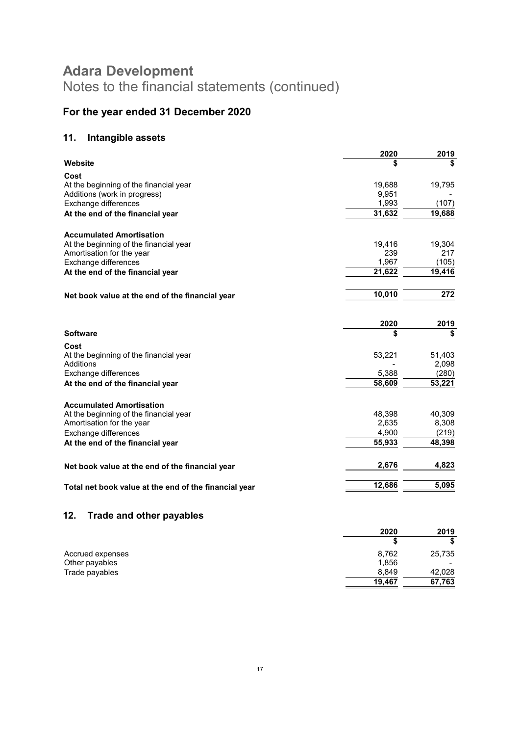# For the year ended 31 December 2020

## 11. Intangible assets

| \$     |                                |
|--------|--------------------------------|
|        |                                |
|        |                                |
| 19,688 | 19,795                         |
| 9,951  |                                |
|        | (107)                          |
| 31,632 | 19,688                         |
|        |                                |
| 19,416 | 19,304                         |
| 239    | 217                            |
| 1,967  | (105)                          |
| 21,622 | 19,416                         |
| 10,010 | 272                            |
|        |                                |
| 2020   | 2019                           |
|        | \$                             |
|        |                                |
| 53,221 | 51,403                         |
|        | 2,098                          |
|        | (280)                          |
| 58,609 | 53,221                         |
|        |                                |
| 48,398 | 40,309                         |
| 2,635  | 8,308                          |
| 4,900  | (219)                          |
| 55,933 | 48,398                         |
| 2,676  | 4,823                          |
|        | 5,095                          |
|        | 1,993<br>\$<br>5,388<br>12,686 |

## 12. Trade and other payables

|                  | 2020   | 2019   |
|------------------|--------|--------|
|                  |        |        |
| Accrued expenses | 8,762  | 25,735 |
| Other payables   | 1,856  |        |
| Trade payables   | 8.849  | 42,028 |
|                  | 19.467 | 67,763 |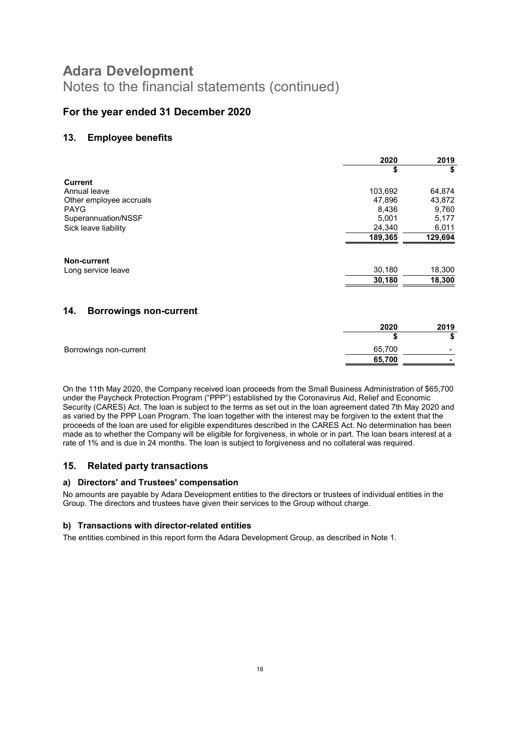## For the year ended 31 December 2020

### 13. Employee benefits

|                                      | 2020    | 2019    |
|--------------------------------------|---------|---------|
|                                      | \$      | \$      |
| <b>Current</b>                       |         |         |
| Annual leave                         | 103,692 | 64,874  |
| Other employee accruals              | 47,896  | 43,872  |
| <b>PAYG</b>                          | 8,436   | 9,760   |
| Superannuation/NSSF                  | 5,001   | 5,177   |
| Sick leave liability                 | 24,340  | 6,011   |
|                                      | 189,365 | 129,694 |
| <b>Non-current</b>                   |         |         |
| Long service leave                   | 30,180  | 18,300  |
|                                      | 30,180  | 18,300  |
|                                      |         |         |
| 14.<br><b>Borrowings non-current</b> |         |         |

## 2020 2019  $\overline{\text{ }}$ Borrowings non-current 65,700  $65,700$

On the 11th May 2020, the Company received loan proceeds from the Small Business Administration of \$65,700 under the Paycheck Protection Program ("PPP") established by the Coronavirus Aid, Relief and Economic Security (CARES) Act. The loan is subject to the terms as set out in the loan agreement dated 7th May 2020 and as varied by the PPP Loan Program. The loan together with the interest may be forgiven to the extent that the proceeds of the loan are used for eligible expenditures described in the CARES Act. No determination has been made as to whether the Company will be eligible for forgiveness, in whole or in part. The loan bears interest at a rate of 1% and is due in 24 months. The loan is subject to forgiveness and no collateral was required.

### 15. Related party transactions

### a) Directors' and Trustees' compensation

No amounts are payable by Adara Development entities to the directors or trustees of individual entities in the Group. The directors and trustees have given their services to the Group without charge.

### b) Transactions with director-related entities

The entities combined in this report form the Adara Development Group, as described in Note 1.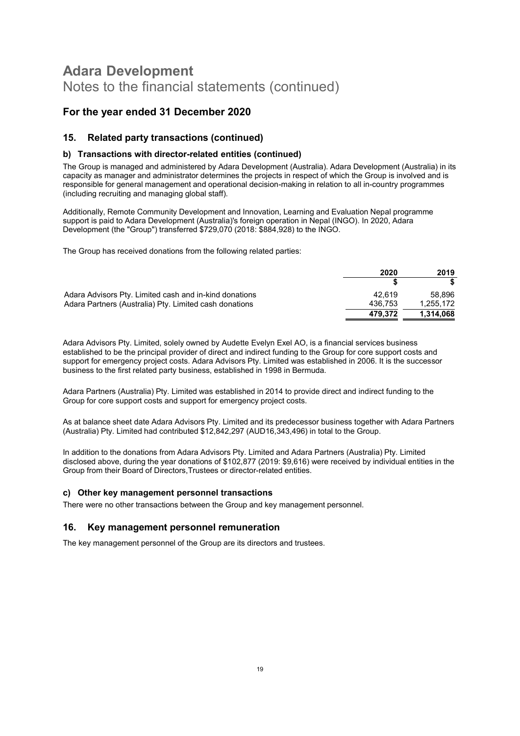## For the year ended 31 December 2020

### 15. Related party transactions (continued)

#### b) Transactions with director-related entities (continued)

The Group is managed and administered by Adara Development (Australia). Adara Development (Australia) in its capacity as manager and administrator determines the projects in respect of which the Group is involved and is responsible for general management and operational decision-making in relation to all in-country programmes (including recruiting and managing global staff).

Additionally, Remote Community Development and Innovation, Learning and Evaluation Nepal programme support is paid to Adara Development (Australia)'s foreign operation in Nepal (INGO). In 2020, Adara Development (the "Group") transferred \$729,070 (2018: \$884,928) to the INGO.

The Group has received donations from the following related parties:

|                                                        | 2020    | 2019      |
|--------------------------------------------------------|---------|-----------|
|                                                        |         |           |
| Adara Advisors Pty. Limited cash and in-kind donations | 42.619  | 58.896    |
| Adara Partners (Australia) Pty. Limited cash donations | 436.753 | 1,255,172 |
|                                                        | 479.372 | 1,314,068 |

Adara Advisors Pty. Limited, solely owned by Audette Evelyn Exel AO, is a financial services business established to be the principal provider of direct and indirect funding to the Group for core support costs and support for emergency project costs. Adara Advisors Pty. Limited was established in 2006. It is the successor business to the first related party business, established in 1998 in Bermuda.

Adara Partners (Australia) Pty. Limited was established in 2014 to provide direct and indirect funding to the Group for core support costs and support for emergency project costs.

As at balance sheet date Adara Advisors Pty. Limited and its predecessor business together with Adara Partners (Australia) Pty. Limited had contributed \$12,842,297 (AUD16,343,496) in total to the Group.

In addition to the donations from Adara Advisors Pty. Limited and Adara Partners (Australia) Pty. Limited disclosed above, during the year donations of \$102,877 (2019: \$9,616) were received by individual entities in the Group from their Board of Directors,Trustees or director-related entities.

#### c) Other key management personnel transactions

There were no other transactions between the Group and key management personnel.

### 16. Key management personnel remuneration

The key management personnel of the Group are its directors and trustees.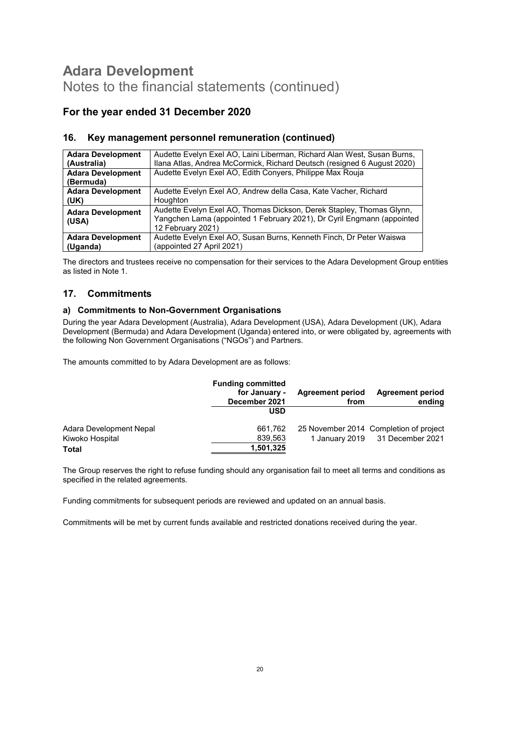## For the year ended 31 December 2020

| <b>Adara Development</b>              | Audette Evelyn Exel AO, Laini Liberman, Richard Alan West, Susan Burns,                                                                                             |
|---------------------------------------|---------------------------------------------------------------------------------------------------------------------------------------------------------------------|
| (Australia)                           | Ilana Atlas, Andrea McCormick, Richard Deutsch (resigned 6 August 2020)                                                                                             |
| <b>Adara Development</b><br>(Bermuda) | Audette Evelyn Exel AO, Edith Conyers, Philippe Max Rouja                                                                                                           |
| <b>Adara Development</b>              | Audette Evelyn Exel AO, Andrew della Casa, Kate Vacher, Richard                                                                                                     |
| (UK)                                  | Houghton                                                                                                                                                            |
| <b>Adara Development</b><br>(USA)     | Audette Evelyn Exel AO, Thomas Dickson, Derek Stapley, Thomas Glynn,<br>Yangchen Lama (appointed 1 February 2021), Dr Cyril Engmann (appointed<br>12 February 2021) |
| <b>Adara Development</b>              | Audette Evelyn Exel AO, Susan Burns, Kenneth Finch, Dr Peter Waiswa                                                                                                 |
| (Uganda)                              | (appointed 27 April 2021)                                                                                                                                           |

### 16. Key management personnel remuneration (continued)

The directors and trustees receive no compensation for their services to the Adara Development Group entities as listed in Note 1.

### 17. Commitments

### a) Commitments to Non-Government Organisations

During the year Adara Development (Australia), Adara Development (USA), Adara Development (UK), Adara Development (Bermuda) and Adara Development (Uganda) entered into, or were obligated by, agreements with the following Non Government Organisations ("NGOs") and Partners.

The amounts committed to by Adara Development are as follows:

|                         | <b>Funding committed</b><br>for January -<br>December 2021 | <b>Agreement period</b><br>from | <b>Agreement period</b><br>ending      |
|-------------------------|------------------------------------------------------------|---------------------------------|----------------------------------------|
|                         | USD                                                        |                                 |                                        |
| Adara Development Nepal | 661,762                                                    |                                 | 25 November 2014 Completion of project |
| Kiwoko Hospital         | 839,563                                                    |                                 | 1 January 2019 31 December 2021        |
| Total                   | 1,501,325                                                  |                                 |                                        |

The Group reserves the right to refuse funding should any organisation fail to meet all terms and conditions as specified in the related agreements.

Funding commitments for subsequent periods are reviewed and updated on an annual basis.

Commitments will be met by current funds available and restricted donations received during the year.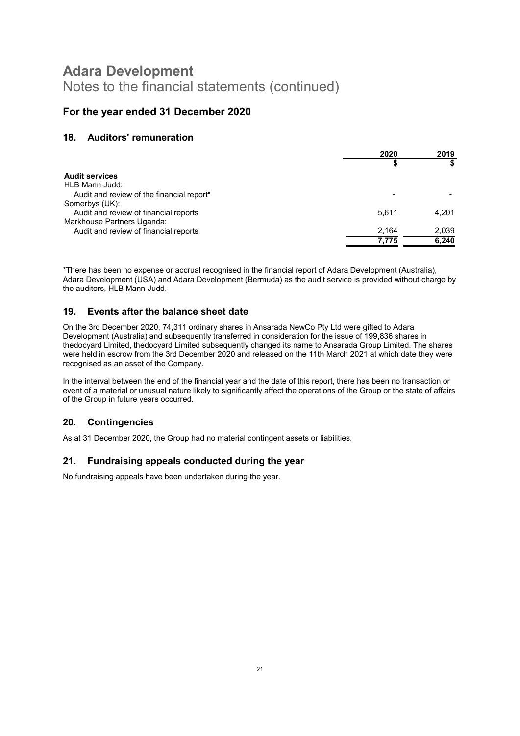## For the year ended 31 December 2020

### 18. Auditors' remuneration

|                                           | 2020  | 2019  |
|-------------------------------------------|-------|-------|
|                                           |       |       |
| <b>Audit services</b>                     |       |       |
| HLB Mann Judd:                            |       |       |
| Audit and review of the financial report* |       |       |
| Somerbys (UK):                            |       |       |
| Audit and review of financial reports     | 5.611 | 4.201 |
| Markhouse Partners Uganda:                |       |       |
| Audit and review of financial reports     | 2,164 | 2,039 |
|                                           | 7.775 | 6,240 |
|                                           |       |       |

\*There has been no expense or accrual recognised in the financial report of Adara Development (Australia), Adara Development (USA) and Adara Development (Bermuda) as the audit service is provided without charge by the auditors, HLB Mann Judd.

### 19. Events after the balance sheet date

On the 3rd December 2020, 74,311 ordinary shares in Ansarada NewCo Pty Ltd were gifted to Adara Development (Australia) and subsequently transferred in consideration for the issue of 199,836 shares in thedocyard Limited, thedocyard Limited subsequently changed its name to Ansarada Group Limited. The shares were held in escrow from the 3rd December 2020 and released on the 11th March 2021 at which date they were recognised as an asset of the Company.

In the interval between the end of the financial year and the date of this report, there has been no transaction or event of a material or unusual nature likely to significantly affect the operations of the Group or the state of affairs of the Group in future years occurred.

### 20. Contingencies

As at 31 December 2020, the Group had no material contingent assets or liabilities.

### 21. Fundraising appeals conducted during the year

No fundraising appeals have been undertaken during the year.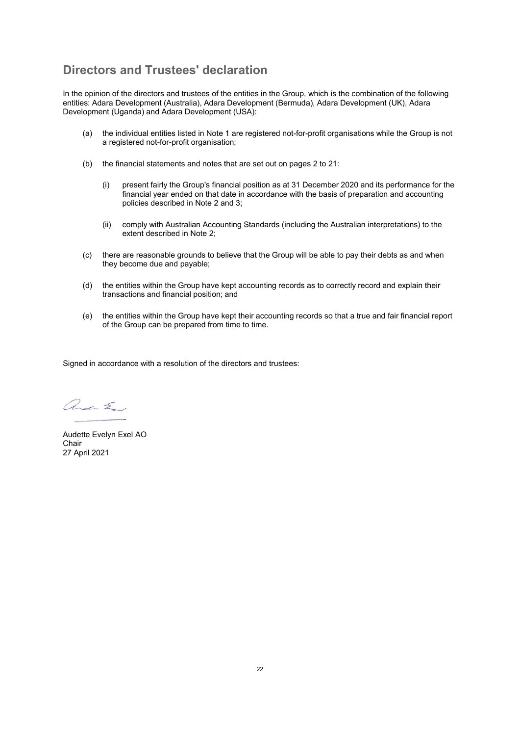## Directors and Trustees' declaration

In the opinion of the directors and trustees of the entities in the Group, which is the combination of the following entities: Adara Development (Australia), Adara Development (Bermuda), Adara Development (UK), Adara Development (Uganda) and Adara Development (USA):

- (a) the individual entities listed in Note 1 are registered not-for-profit organisations while the Group is not a registered not-for-profit organisation;
- (b) the financial statements and notes that are set out on pages 2 to 21:
	- (i) present fairly the Group's financial position as at 31 December 2020 and its performance for the financial year ended on that date in accordance with the basis of preparation and accounting policies described in Note 2 and 3;
	- (ii) comply with Australian Accounting Standards (including the Australian interpretations) to the extent described in Note 2;
- (c) there are reasonable grounds to believe that the Group will be able to pay their debts as and when they become due and payable;
- (d) the entities within the Group have kept accounting records as to correctly record and explain their transactions and financial position; and
- (e) the entities within the Group have kept their accounting records so that a true and fair financial report of the Group can be prepared from time to time.

Signed in accordance with a resolution of the directors and trustees:

and En

Audette Evelyn Exel AO Chair 27 April 2021